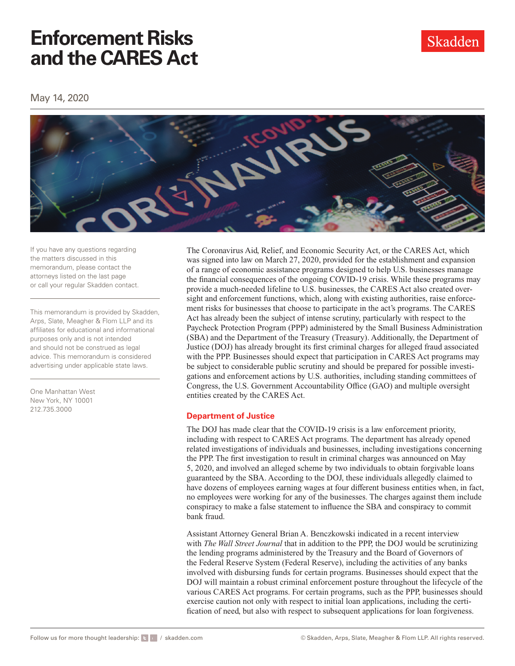Skadden

May 14, 2020



If you have any questions regarding the matters discussed in this memorandum, please contact the attorneys listed on the last page or call your regular Skadden contact.

This memorandum is provided by Skadden, Arps, Slate, Meagher & Flom LLP and its affiliates for educational and informational purposes only and is not intended and should not be construed as legal advice. This memorandum is considered advertising under applicable state laws.

One Manhattan West New York, NY 10001 212.735.3000

The Coronavirus Aid, Relief, and Economic Security Act, or the CARES Act, which was signed into law on March 27, 2020, provided for the establishment and expansion of a range of economic assistance programs designed to help U.S. businesses manage the fnancial consequences of the ongoing COVID-19 crisis. While these programs may provide a much-needed lifeline to U.S. businesses, the CARES Act also created oversight and enforcement functions, which, along with existing authorities, raise enforcement risks for businesses that choose to participate in the act's programs. The CARES Act has already been the subject of intense scrutiny, particularly with respect to the Paycheck Protection Program (PPP) administered by the Small Business Administration (SBA) and the Department of the Treasury (Treasury). Additionally, the Department of Justice (DOJ) has already brought its frst criminal charges for alleged fraud associated with the PPP. Businesses should expect that participation in CARES Act programs may be subject to considerable public scrutiny and should be prepared for possible investigations and enforcement actions by U.S. authorities, including standing committees of Congress, the U.S. Government Accountability Office (GAO) and multiple oversight entities created by the CARES Act.

### **Department of Justice**

The DOJ has made clear that the COVID-19 crisis is a law enforcement priority, including with respect to CARES Act programs. The department has already opened related investigations of individuals and businesses, including investigations concerning the PPP. The frst investigation to result in criminal charges was announced on May 5, 2020, and involved an alleged scheme by two individuals to obtain forgivable loans guaranteed by the SBA. According to the DOJ, these individuals allegedly claimed to have dozens of employees earning wages at four diferent business entities when, in fact, no employees were working for any of the businesses. The charges against them include conspiracy to make a false statement to infuence the SBA and conspiracy to commit bank fraud.

Assistant Attorney General Brian A. Benczkowski indicated in a recent interview with *The Wall Street Journal* that in addition to the PPP, the DOJ would be scrutinizing the lending programs administered by the Treasury and the Board of Governors of the Federal Reserve System (Federal Reserve), including the activities of any banks involved with disbursing funds for certain programs. Businesses should expect that the DOJ will maintain a robust criminal enforcement posture throughout the lifecycle of the various CARES Act programs. For certain programs, such as the PPP, businesses should exercise caution not only with respect to initial loan applications, including the certifcation of need, but also with respect to subsequent applications for loan forgiveness.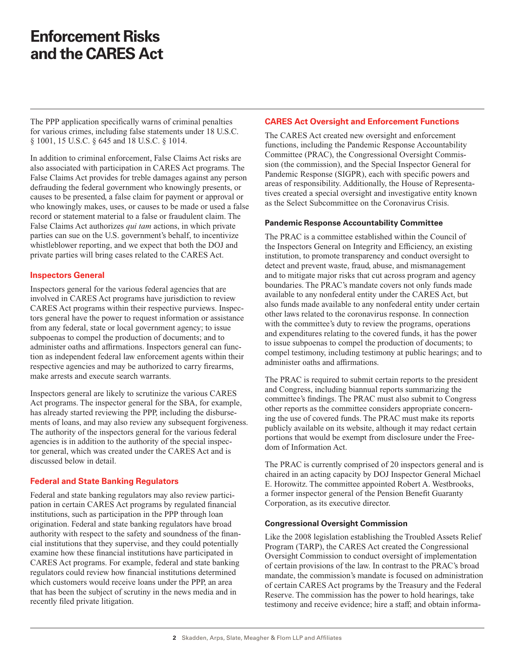The PPP application specifcally warns of criminal penalties for various crimes, including false statements under 18 U.S.C. § 1001, 15 U.S.C. § 645 and 18 U.S.C. § 1014.

In addition to criminal enforcement, False Claims Act risks are also associated with participation in CARES Act programs. The False Claims Act provides for treble damages against any person defrauding the federal government who knowingly presents, or causes to be presented, a false claim for payment or approval or who knowingly makes, uses, or causes to be made or used a false record or statement material to a false or fraudulent claim. The False Claims Act authorizes *qui tam* actions, in which private parties can sue on the U.S. government's behalf, to incentivize whistleblower reporting, and we expect that both the DOJ and private parties will bring cases related to the CARES Act.

### **Inspectors General**

Inspectors general for the various federal agencies that are involved in CARES Act programs have jurisdiction to review CARES Act programs within their respective purviews. Inspectors general have the power to request information or assistance from any federal, state or local government agency; to issue subpoenas to compel the production of documents; and to administer oaths and affirmations. Inspectors general can function as independent federal law enforcement agents within their respective agencies and may be authorized to carry frearms, make arrests and execute search warrants.

Inspectors general are likely to scrutinize the various CARES Act programs. The inspector general for the SBA, for example, has already started reviewing the PPP, including the disbursements of loans, and may also review any subsequent forgiveness. The authority of the inspectors general for the various federal agencies is in addition to the authority of the special inspector general, which was created under the CARES Act and is discussed below in detail.

### **Federal and State Banking Regulators**

Federal and state banking regulators may also review participation in certain CARES Act programs by regulated fnancial institutions, such as participation in the PPP through loan origination. Federal and state banking regulators have broad authority with respect to the safety and soundness of the fnancial institutions that they supervise, and they could potentially examine how these fnancial institutions have participated in CARES Act programs. For example, federal and state banking regulators could review how fnancial institutions determined which customers would receive loans under the PPP, an area that has been the subject of scrutiny in the news media and in recently fled private litigation.

### **CARES Act Oversight and Enforcement Functions**

The CARES Act created new oversight and enforcement functions, including the Pandemic Response Accountability Committee (PRAC), the Congressional Oversight Commission (the commission), and the Special Inspector General for Pandemic Response (SIGPR), each with specifc powers and areas of responsibility. Additionally, the House of Representatives created a special oversight and investigative entity known as the Select Subcommittee on the Coronavirus Crisis.

#### **Pandemic Response Accountability Committee**

The PRAC is a committee established within the Council of the Inspectors General on Integrity and Efficiency, an existing institution, to promote transparency and conduct oversight to detect and prevent waste, fraud, abuse, and mismanagement and to mitigate major risks that cut across program and agency boundaries. The PRAC's mandate covers not only funds made available to any nonfederal entity under the CARES Act, but also funds made available to any nonfederal entity under certain other laws related to the coronavirus response. In connection with the committee's duty to review the programs, operations and expenditures relating to the covered funds, it has the power to issue subpoenas to compel the production of documents; to compel testimony, including testimony at public hearings; and to administer oaths and affirmations.

The PRAC is required to submit certain reports to the president and Congress, including biannual reports summarizing the committee's fndings. The PRAC must also submit to Congress other reports as the committee considers appropriate concerning the use of covered funds. The PRAC must make its reports publicly available on its website, although it may redact certain portions that would be exempt from disclosure under the Freedom of Information Act.

The PRAC is currently comprised of 20 inspectors general and is chaired in an acting capacity by DOJ Inspector General Michael E. Horowitz. The committee appointed Robert A. Westbrooks, a former inspector general of the Pension Beneft Guaranty Corporation, as its executive director.

#### **Congressional Oversight Commission**

Like the 2008 legislation establishing the Troubled Assets Relief Program (TARP), the CARES Act created the Congressional Oversight Commission to conduct oversight of implementation of certain provisions of the law. In contrast to the PRAC's broad mandate, the commission's mandate is focused on administration of certain CARES Act programs by the Treasury and the Federal Reserve. The commission has the power to hold hearings, take testimony and receive evidence; hire a staff; and obtain informa-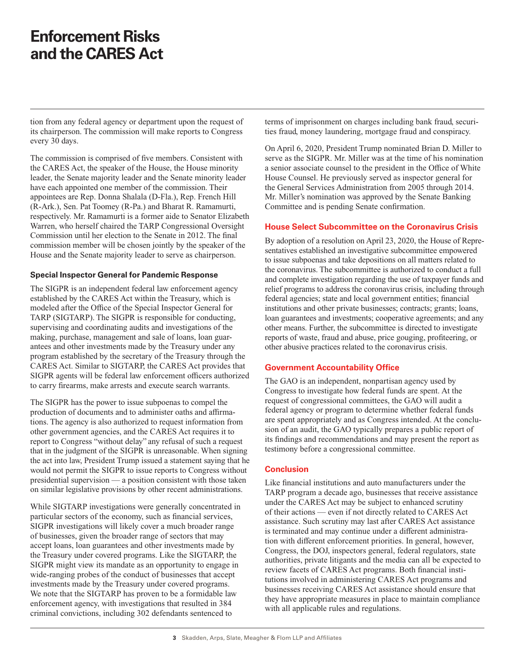tion from any federal agency or department upon the request of its chairperson. The commission will make reports to Congress every 30 days.

The commission is comprised of fve members. Consistent with the CARES Act, the speaker of the House, the House minority leader, the Senate majority leader and the Senate minority leader have each appointed one member of the commission. Their appointees are Rep. Donna Shalala (D-Fla.), Rep. French Hill (R-Ark.), Sen. Pat Toomey (R-Pa.) and Bharat R. Ramamurti, respectively. Mr. Ramamurti is a former aide to Senator Elizabeth Warren, who herself chaired the TARP Congressional Oversight Commission until her election to the Senate in 2012. The fnal commission member will be chosen jointly by the speaker of the House and the Senate majority leader to serve as chairperson.

### **Special Inspector General for Pandemic Response**

The SIGPR is an independent federal law enforcement agency established by the CARES Act within the Treasury, which is modeled after the Office of the Special Inspector General for TARP (SIGTARP). The SIGPR is responsible for conducting, supervising and coordinating audits and investigations of the making, purchase, management and sale of loans, loan guarantees and other investments made by the Treasury under any program established by the secretary of the Treasury through the CARES Act. Similar to SIGTARP, the CARES Act provides that SIGPR agents will be federal law enforcement officers authorized to carry frearms, make arrests and execute search warrants.

The SIGPR has the power to issue subpoenas to compel the production of documents and to administer oaths and affirmations. The agency is also authorized to request information from other government agencies, and the CARES Act requires it to report to Congress "without delay" any refusal of such a request that in the judgment of the SIGPR is unreasonable. When signing the act into law, President Trump issued a statement saying that he would not permit the SIGPR to issue reports to Congress without presidential supervision — a position consistent with those taken on similar legislative provisions by other recent administrations.

While SIGTARP investigations were generally concentrated in particular sectors of the economy, such as fnancial services, SIGPR investigations will likely cover a much broader range of businesses, given the broader range of sectors that may accept loans, loan guarantees and other investments made by the Treasury under covered programs. Like the SIGTARP, the SIGPR might view its mandate as an opportunity to engage in wide-ranging probes of the conduct of businesses that accept investments made by the Treasury under covered programs. We note that the SIGTARP has proven to be a formidable law enforcement agency, with investigations that resulted in 384 criminal convictions, including 302 defendants sentenced to

terms of imprisonment on charges including bank fraud, securities fraud, money laundering, mortgage fraud and conspiracy.

On April 6, 2020, President Trump nominated Brian D. Miller to serve as the SIGPR. Mr. Miller was at the time of his nomination a senior associate counsel to the president in the Office of White House Counsel. He previously served as inspector general for the General Services Administration from 2005 through 2014. Mr. Miller's nomination was approved by the Senate Banking Committee and is pending Senate confrmation.

### **House Select Subcommittee on the Coronavirus Crisis**

By adoption of a resolution on April 23, 2020, the House of Representatives established an investigative subcommittee empowered to issue subpoenas and take depositions on all matters related to the coronavirus. The subcommittee is authorized to conduct a full and complete investigation regarding the use of taxpayer funds and relief programs to address the coronavirus crisis, including through federal agencies; state and local government entities; fnancial institutions and other private businesses; contracts; grants; loans, loan guarantees and investments; cooperative agreements; and any other means. Further, the subcommittee is directed to investigate reports of waste, fraud and abuse, price gouging, profteering, or other abusive practices related to the coronavirus crisis.

#### **Government Accountability Office**

The GAO is an independent, nonpartisan agency used by Congress to investigate how federal funds are spent. At the request of congressional committees, the GAO will audit a federal agency or program to determine whether federal funds are spent appropriately and as Congress intended. At the conclusion of an audit, the GAO typically prepares a public report of its fndings and recommendations and may present the report as testimony before a congressional committee.

### **Conclusion**

Like fnancial institutions and auto manufacturers under the TARP program a decade ago, businesses that receive assistance under the CARES Act may be subject to enhanced scrutiny of their actions — even if not directly related to CARES Act assistance. Such scrutiny may last after CARES Act assistance is terminated and may continue under a diferent administration with diferent enforcement priorities. In general, however, Congress, the DOJ, inspectors general, federal regulators, state authorities, private litigants and the media can all be expected to review facets of CARES Act programs. Both fnancial institutions involved in administering CARES Act programs and businesses receiving CARES Act assistance should ensure that they have appropriate measures in place to maintain compliance with all applicable rules and regulations.